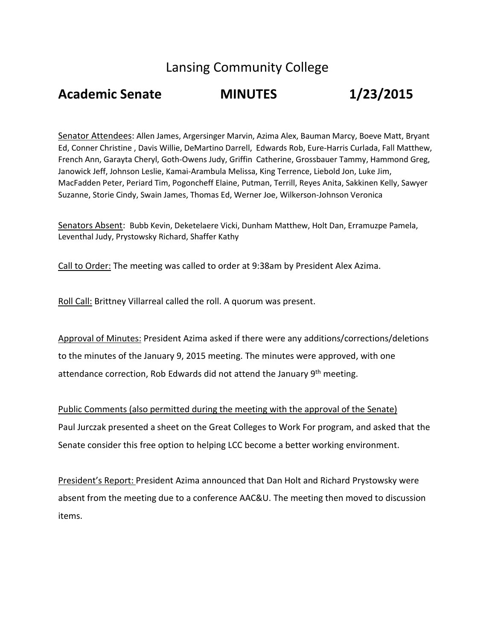## Lansing Community College

## **Academic Senate MINUTES 1/23/2015**

Senator Attendees: Allen James, Argersinger Marvin, Azima Alex, Bauman Marcy, Boeve Matt, Bryant Ed, Conner Christine , Davis Willie, DeMartino Darrell, Edwards Rob, Eure-Harris Curlada, Fall Matthew, French Ann, Garayta Cheryl, Goth-Owens Judy, Griffin Catherine, Grossbauer Tammy, Hammond Greg, Janowick Jeff, Johnson Leslie, Kamai-Arambula Melissa, King Terrence, Liebold Jon, Luke Jim, MacFadden Peter, Periard Tim, Pogoncheff Elaine, Putman, Terrill, Reyes Anita, Sakkinen Kelly, Sawyer Suzanne, Storie Cindy, Swain James, Thomas Ed, Werner Joe, Wilkerson-Johnson Veronica

Senators Absent: Bubb Kevin, Deketelaere Vicki, Dunham Matthew, Holt Dan, Erramuzpe Pamela, Leventhal Judy, Prystowsky Richard, Shaffer Kathy

Call to Order: The meeting was called to order at 9:38am by President Alex Azima.

Roll Call: Brittney Villarreal called the roll. A quorum was present.

Approval of Minutes: President Azima asked if there were any additions/corrections/deletions to the minutes of the January 9, 2015 meeting. The minutes were approved, with one attendance correction, Rob Edwards did not attend the January 9<sup>th</sup> meeting.

Public Comments (also permitted during the meeting with the approval of the Senate) Paul Jurczak presented a sheet on the Great Colleges to Work For program, and asked that the Senate consider this free option to helping LCC become a better working environment.

President's Report: President Azima announced that Dan Holt and Richard Prystowsky were absent from the meeting due to a conference AAC&U. The meeting then moved to discussion items.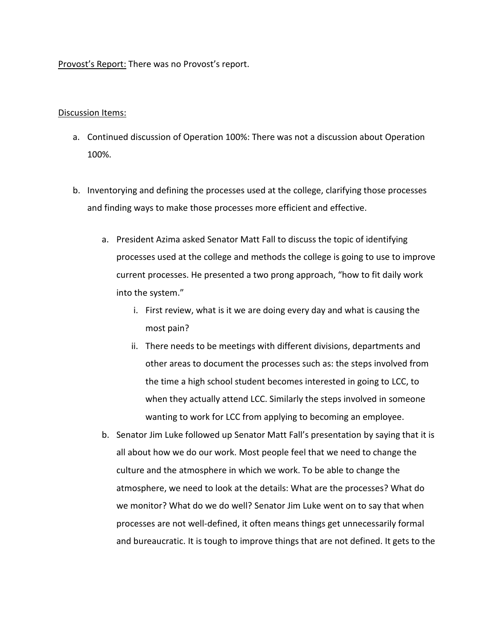## Provost's Report: There was no Provost's report.

## Discussion Items:

- a. Continued discussion of Operation 100%: There was not a discussion about Operation 100%.
- b. Inventorying and defining the processes used at the college, clarifying those processes and finding ways to make those processes more efficient and effective.
	- a. President Azima asked Senator Matt Fall to discuss the topic of identifying processes used at the college and methods the college is going to use to improve current processes. He presented a two prong approach, "how to fit daily work into the system."
		- i. First review, what is it we are doing every day and what is causing the most pain?
		- ii. There needs to be meetings with different divisions, departments and other areas to document the processes such as: the steps involved from the time a high school student becomes interested in going to LCC, to when they actually attend LCC. Similarly the steps involved in someone wanting to work for LCC from applying to becoming an employee.
	- b. Senator Jim Luke followed up Senator Matt Fall's presentation by saying that it is all about how we do our work. Most people feel that we need to change the culture and the atmosphere in which we work. To be able to change the atmosphere, we need to look at the details: What are the processes? What do we monitor? What do we do well? Senator Jim Luke went on to say that when processes are not well-defined, it often means things get unnecessarily formal and bureaucratic. It is tough to improve things that are not defined. It gets to the